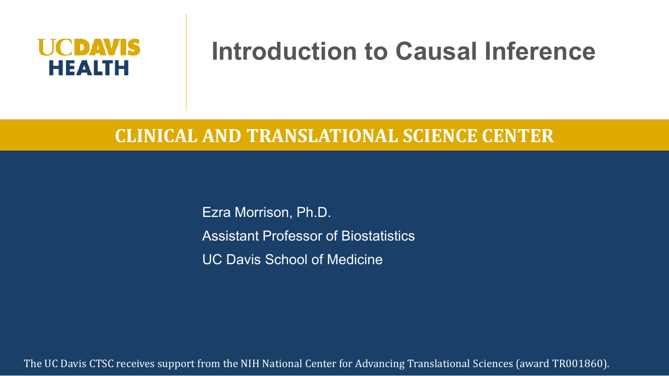# UCDAVIS **HEALTH**

# **Introduction to Causal Inference**

#### **CLINICAL AND TRANSLATIONAL SCIENCE CENTER**

Ezra Morrison, Ph.D. Assistant Professor of Biostatistics UC Davis School of Medicine

The UC Davis CTSC receives support from the NIH National Center for Advancing Translational Sciences (award TR001860).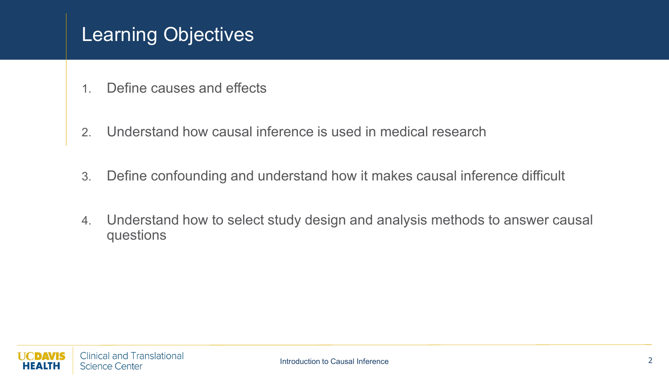# Learning Objectives

- 1. Define causes and effects
- 2. Understand how causal inference is used in medical research
- 3. Define confounding and understand how it makes causal inference difficult
- 4. Understand how to select study design and analysis methods to answer causal questions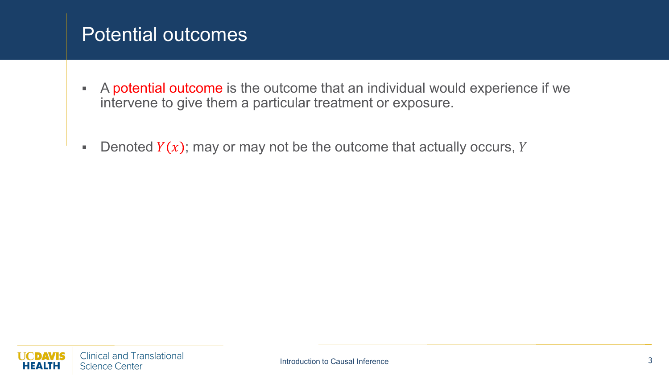#### Potential outcomes

- A potential outcome is the outcome that an individual would experience if we intervene to give them a particular treatment or exposure.
- Denoted  $Y(x)$ ; may or may not be the outcome that actually occurs, Y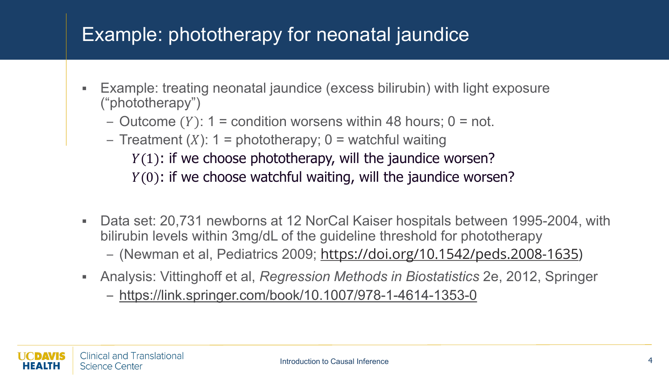# Example: phototherapy for neonatal jaundice

- Example: treating neonatal jaundice (excess bilirubin) with light exposure ("phototherapy")
	- Outcome  $(Y)$ : 1 = condition worsens within 48 hours; 0 = not.
	- Treatment  $(X)$ : 1 = phototherapy; 0 = watchful waiting  $Y(1)$ : if we choose phototherapy, will the jaundice worsen?  $Y(0)$ : if we choose watchful waiting, will the jaundice worsen?
- Data set: 20,731 newborns at 12 NorCal Kaiser hospitals between 1995-2004, with bilirubin levels within 3mg/dL of the guideline threshold for phototherapy – (Newman et al, Pediatrics 2009; <https://doi.org/10.1542/peds.2008-1635>)
- Analysis: Vittinghoff et al, *Regression Methods in Biostatistics* 2e, 2012, Springer

– <https://link.springer.com/book/10.1007/978-1-4614-1353-0>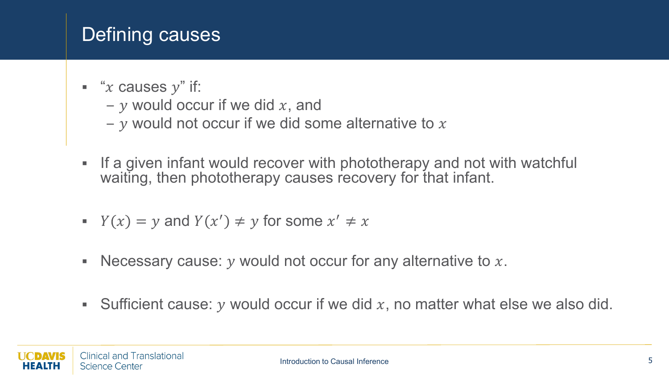# Defining causes

- " $x$  causes  $y$ " if:
	- $y$  would occur if we did  $x$ , and
	- $\nu$  would not occur if we did some alternative to  $x$
- If a given infant would recover with phototherapy and not with watchful waiting, then phototherapy causes recovery for that infant.
- $Y(x) = y$  and  $Y(x') \neq y$  for some  $x' \neq x$
- Necessary cause:  $y$  would not occur for any alternative to  $x$ .
- Sufficient cause: y would occur if we did  $x$ , no matter what else we also did.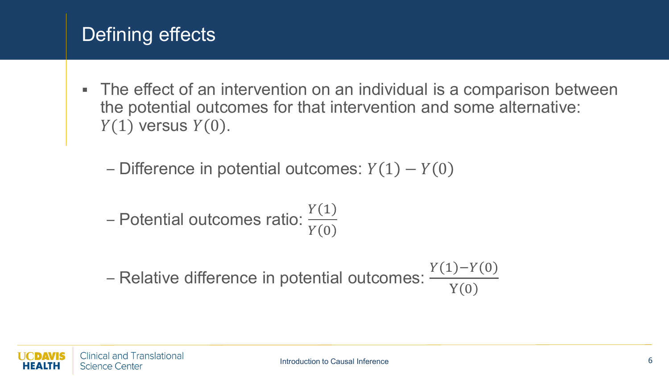# Defining effects

 The effect of an intervention on an individual is a comparison between the potential outcomes for that intervention and some alternative:  $Y(1)$  versus  $Y(0)$ .

– Difference in potential outcomes:  $Y(1) - Y(0)$ 

– Potential outcomes ratio: 
$$
\frac{Y(1)}{Y(0)}
$$

– Relative difference in potential outcomes:  $\frac{Y(1) - Y(0)}{Y(0)}$ **Y** (0)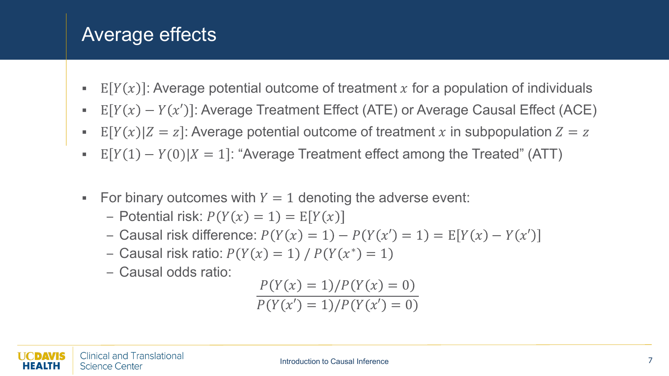#### Average effects

- E  $[Y(x)]$ : Average potential outcome of treatment x for a population of individuals
- E  $[Y(x) Y(x')]$ : Average Treatment Effect (ATE) or Average Causal Effect (ACE)
- E  $[Y(x)|Z = z]$ : Average potential outcome of treatment x in subpopulation  $Z = z$
- E  $[Y(1) Y(0)|X = 1]$ : "Average Treatment effect among the Treated" (ATT)
- For binary outcomes with  $Y = 1$  denoting the adverse event:
	- Potential risk:  $P(Y(x) = 1) = E[Y(x)]$
	- Causal risk difference:  $P(Y(x) = 1) P(Y(x') = 1) = E[Y(x) Y(x')]$
	- Causal risk ratio:  $P(Y(x) = 1) / P(Y(x^*) = 1)$
	- Causal odds ratio:

$$
\frac{P(Y(x) = 1) / P(Y(x) = 0)}{P(Y(x') = 1) / P(Y(x') = 0)}
$$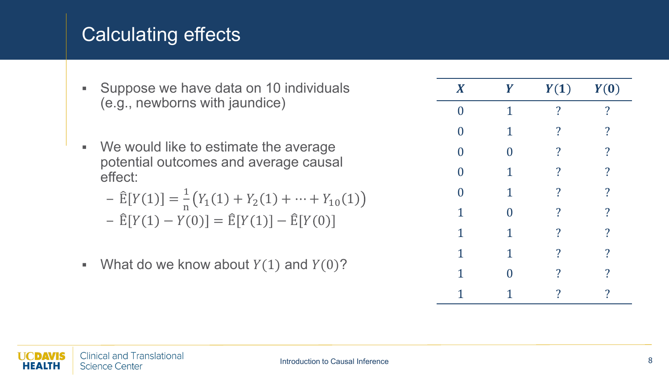# Calculating effects

- **Suppose we have data on 10 individuals** (e.g., newborns with jaundice)
- We would like to estimate the average potential outcomes and average causal effect:

$$
- \widehat{E}[Y(1)] = \frac{1}{n} (Y_1(1) + Y_2(1) + \dots + Y_{10}(1))
$$

$$
- \hat{E}[Y(1) - Y(0)] = \hat{E}[Y(1)] - \hat{E}[Y(0)]
$$

What do we know about  $Y(1)$  and  $Y(0)$ ?

| $\boldsymbol{X}$ | Y              | Y(1)                     | Y(0)                     |
|------------------|----------------|--------------------------|--------------------------|
| $\overline{0}$   | $\mathbf{1}$   | $\overline{\mathbf{?}}$  | $\overline{\cdot}$       |
| $\overline{0}$   | $\mathbf{1}$   | $\overline{\cdot}$       | $\overline{\mathcal{C}}$ |
| $\overline{0}$   | $\overline{0}$ | $\overline{\mathbf{?}}$  | $\overline{\mathbf{?}}$  |
| $\overline{0}$   | $\mathbf 1$    | $\overline{\mathbf{?}}$  | $\overline{\cdot}$       |
| $\overline{0}$   | $\mathbf{1}$   | $\overline{\mathbf{?}}$  | $\overline{\mathbf{?}}$  |
| $\mathbf{1}$     | $\overline{0}$ | $\overline{\cdot}$       | $\overline{\mathbf{?}}$  |
| $\mathbf{1}$     | $\mathbf 1$    | $\overline{\mathcal{L}}$ | $\overline{\mathcal{L}}$ |
| $\mathbf{1}$     | $\mathbf{1}$   | $\overline{\mathcal{L}}$ | $\overline{\mathcal{L}}$ |
| $\overline{1}$   | 0              | $\ddot{?}$               | $\overline{\mathcal{C}}$ |
| 1                | 1              | $\overline{\mathbf{?}}$  | $\overline{\mathcal{C}}$ |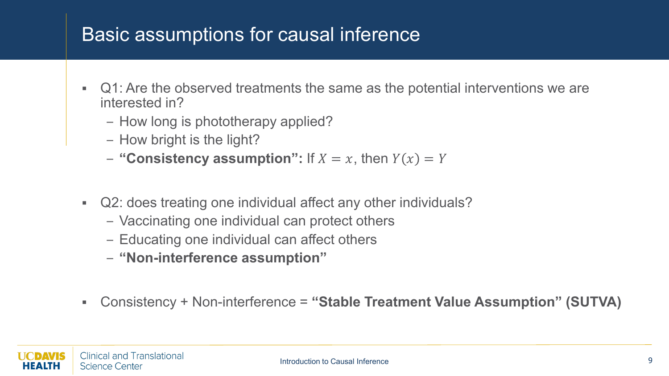- Q1: Are the observed treatments the same as the potential interventions we are interested in?
	- How long is phototherapy applied?
	- How bright is the light?
	- $-$  "Consistency assumption": If  $X = x$ , then  $Y(x) = Y$
- Q2: does treating one individual affect any other individuals?
	- Vaccinating one individual can protect others
	- Educating one individual can affect others
	- **"Non-interference assumption"**
- Consistency + Non-interference = **"Stable Treatment Value Assumption" (SUTVA)**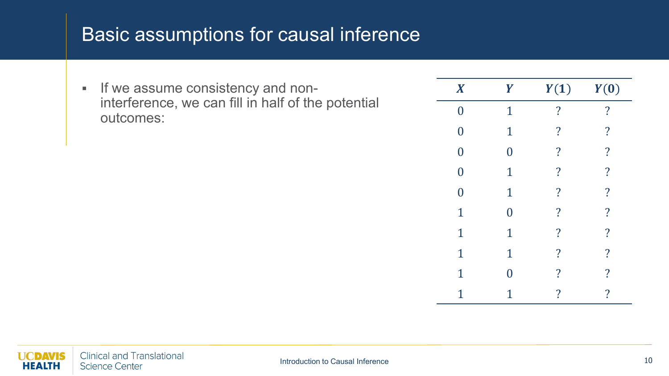**If we assume consistency and non**interference, we can fill in half of the potential outcomes:

| $\boldsymbol{X}$ | Y              | Y(1)                     | Y(0)                     |
|------------------|----------------|--------------------------|--------------------------|
| $\boldsymbol{0}$ | $\overline{1}$ | $\overline{\cdot}$       | $\overline{\mathcal{C}}$ |
| $\boldsymbol{0}$ | $\mathbf 1$    | $\overline{\cdot}$       | $\overline{\cdot}$       |
| $\boldsymbol{0}$ | $\overline{0}$ | $\overline{\cdot}$       | $\overline{\mathbf{?}}$  |
| $\boldsymbol{0}$ | $\overline{1}$ | $\overline{\cdot}$       | $\overline{\mathbf{?}}$  |
| $\overline{0}$   | $\mathbf{1}$   | $\overline{\mathbf{?}}$  | $\overline{\mathbf{?}}$  |
| $\overline{1}$   | $\rm 0$        | $\overline{\mathbf{?}}$  | $\overline{\cdot}$       |
| $\mathbf{1}$     | $\mathbf 1$    | $\overline{\cdot}$       | $\overline{\mathcal{L}}$ |
| $\mathbf{1}$     | $\mathbf 1$    | $\overline{\cdot}$       | $\overline{\mathcal{C}}$ |
| $\mathbf 1$      | 0              | $\overline{\mathbf{?}}$  | $\overline{\cdot}$       |
| 1                | 1              | $\overline{\mathcal{C}}$ | $\overline{\mathcal{C}}$ |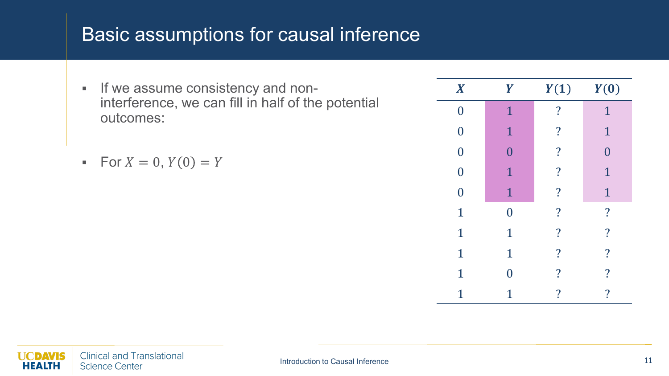- **If we assume consistency and non**interference, we can fill in half of the potential outcomes:
- For  $X = 0$ ,  $Y(0) = Y$

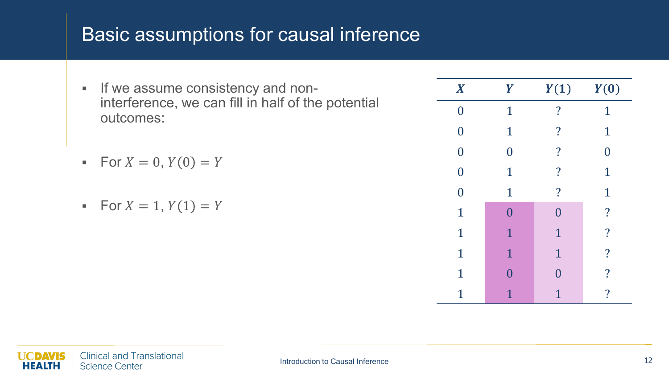- **If we assume consistency and non**interference, we can fill in half of the potential outcomes:
- For  $X = 0$ ,  $Y(0) = Y$
- For  $X = 1$ ,  $Y(1) = Y$

| $\boldsymbol{X}$ | Y              | Y(1)               | Y(0)                     |
|------------------|----------------|--------------------|--------------------------|
| $\overline{0}$   | 1              | $\overline{\cdot}$ | 1                        |
| $\overline{0}$   | $\mathbf{1}$   | $\overline{\cdot}$ | $\mathbf{1}$             |
| $\overline{0}$   | $\bf{0}$       | $\overline{\cdot}$ | $\overline{0}$           |
| $\overline{0}$   | $\mathbf 1$    | $\overline{\cdot}$ | $\mathbf 1$              |
| $\overline{0}$   | $\mathbf{1}$   | $\overline{?}$     | $\mathbf{1}$             |
| $\mathbf{1}$     | $\overline{0}$ | $\overline{0}$     | $\overline{\mathcal{L}}$ |
| $\mathbf{1}$     | $\mathbf{1}$   | $\mathbf{1}$       | $\overline{\cdot}$       |
| $\mathbf{1}$     | $\mathbf{1}$   | $\mathbf{1}$       | $\overline{\cdot}$       |
| $\overline{1}$   | $\Omega$       | $\Omega$           | $\overline{\cdot}$       |
| 1                | 1              | 1                  | $\overline{\mathbf{?}}$  |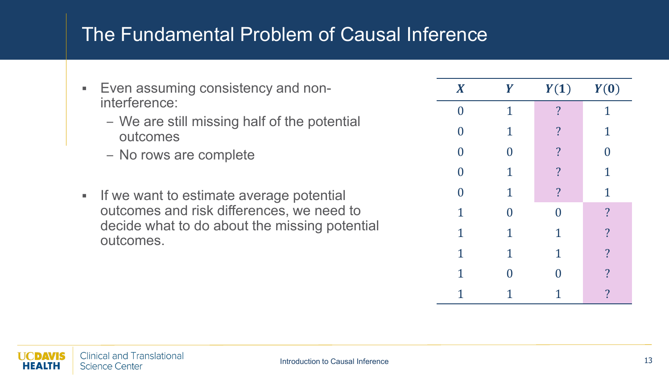#### The Fundamental Problem of Causal Inference

- **Even assuming consistency and non**interference:
	- We are still missing half of the potential outcomes
	- No rows are complete
- If we want to estimate average potential outcomes and risk differences, we need to decide what to do about the missing potential outcomes.

| $\boldsymbol{X}$ | Y                | Y(1)                     | Y(0)                     |
|------------------|------------------|--------------------------|--------------------------|
| $\overline{0}$   | $\mathbf 1$      | $\overline{?}$           | $\mathbf 1$              |
| $\overline{0}$   | $\mathbf{1}$     | $\overline{\mathcal{L}}$ | $\mathbf{1}$             |
| $\overline{0}$   | $\overline{0}$   | $\overline{\mathcal{L}}$ | $\overline{0}$           |
| $\overline{0}$   | $\mathbf{1}$     | $\overline{?}$           | $\mathbf 1$              |
| $\overline{0}$   | $\mathbf{1}$     | $\overline{?}$           | $\mathbf{1}$             |
| $\overline{1}$   | $\boldsymbol{0}$ | $\overline{0}$           | $\overline{\cdot}$       |
| $\mathbf{1}$     | $\mathbf{1}$     | $\mathbf{1}$             | $\overline{\cdot}$       |
| $\mathbf{1}$     | $\mathbf 1$      | $\mathbf{1}$             | $\overline{\cdot}$       |
| $\mathbf{1}$     | $\overline{0}$   | 0                        | $\overline{\cdot}$       |
| 1                | 1                | 1                        | $\overline{\mathcal{E}}$ |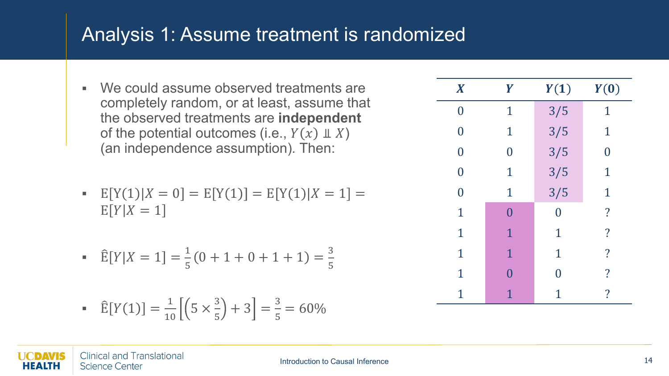#### Analysis 1: Assume treatment is randomized

- We could assume observed treatments are completely random, or at least, assume that the observed treatments are **independent** of the potential outcomes (i.e.,  $Y(x) \perp X$ ) (an independence assumption)*.* Then:
- E  $[Y(1)|X = 0] = E[Y(1)] = E[Y(1)|X = 1] =$  $E[Y|X=1]$
- $\hat{E}[Y|X=1] = \frac{1}{5}$  $\frac{1}{5}(0+1+0+1+1)=$ 3 5

$$
\widehat{\mathbb{E}}[Y(1)] = \frac{1}{10} \left[ \left( 5 \times \frac{3}{5} \right) + 3 \right] = \frac{3}{5} = 60\%
$$

| $\boldsymbol{X}$ | Y              | Y(1)           | Y(0)                     |
|------------------|----------------|----------------|--------------------------|
| $\bf{0}$         | $\mathbf 1$    | 3/5            | $\overline{1}$           |
| $\overline{0}$   | $\mathbf 1$    | 3/5            | $\mathbf 1$              |
| $\overline{0}$   | $\overline{0}$ | 3/5            | $\overline{0}$           |
| $\overline{0}$   | $\mathbf 1$    | 3/5            | $\mathbf 1$              |
| $\overline{0}$   | $\mathbf 1$    | 3/5            | $\mathbf 1$              |
| $\mathbf{1}$     | $\overline{0}$ | $\overline{0}$ | $\overline{\mathcal{L}}$ |
| $\mathbf{1}$     | $\mathbf{1}$   | $\mathbf 1$    | $\overline{\mathcal{L}}$ |
| $\mathbf{1}$     | $\mathbf{1}$   | $\mathbf{1}$   | $\overline{\cdot}$       |
| $\mathbf 1$      | $\overline{0}$ | 0              | $\overline{\cdot}$       |
| $\overline{1}$   | 1              | 1              | $\overline{\mathcal{L}}$ |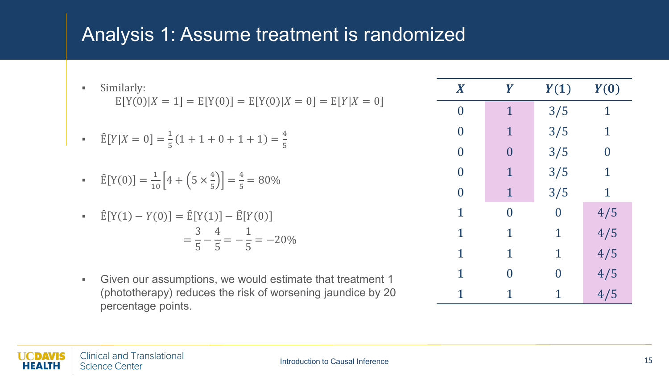#### Analysis 1: Assume treatment is randomized

| ×.             | Similarly:                                                                                                   | $\boldsymbol{X}$ |             | Y(1)           | Y(0) |
|----------------|--------------------------------------------------------------------------------------------------------------|------------------|-------------|----------------|------|
|                | $E[Y(0) X = 1] = E[Y(0)] = E[Y(0) X = 0] = E[Y X = 0]$                                                       | $\overline{0}$   |             | 3/5            |      |
|                | • $\hat{E}[Y X=0] = \frac{1}{5}(1+1+0+1+1) = \frac{4}{5}$                                                    | $\bm{0}$         |             | 3/5            |      |
|                |                                                                                                              | $\overline{0}$   | $\Omega$    | 3/5            |      |
|                | • $\hat{E}[Y(0)] = \frac{1}{10} \left[ 4 + \left( 5 \times \frac{4}{5} \right) \right] = \frac{4}{5} = 80\%$ | $\bm{0}$         |             | 3/5            |      |
|                |                                                                                                              | $\overline{0}$   | $\mathbf 1$ | 3/5            |      |
| $\blacksquare$ | $\hat{E}[Y(1) - Y(0)] = \hat{E}[Y(1)] - \hat{E}[Y(0)]$                                                       |                  | $\bf{0}$    | $\bf{0}$       | 4/5  |
|                | $=\frac{3}{5} - \frac{4}{5} = -\frac{1}{5} = -20\%$                                                          |                  | 1           |                | 4/5  |
|                |                                                                                                              |                  | 1           | 1              | 4/5  |
| $\blacksquare$ | Given our assumptions, we would estimate that treatment 1                                                    |                  | $\bf{0}$    | $\overline{0}$ | 4/5  |
|                | (phototherapy) reduces the risk of worsening jaundice by 20                                                  |                  |             |                | 4/5  |

percentage points.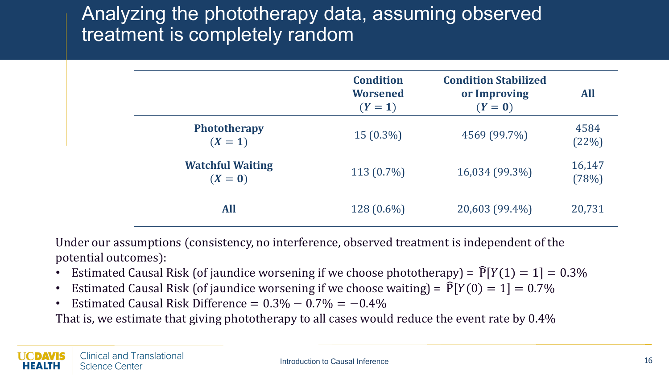#### Analyzing the phototherapy data, assuming observed treatment is completely random

|                                    | <b>Condition</b><br><b>Worsened</b><br>$(Y = 1)$ | <b>Condition Stabilized</b><br>or Improving<br>$(Y=0)$ | <b>All</b>      |
|------------------------------------|--------------------------------------------------|--------------------------------------------------------|-----------------|
| Phototherapy<br>$(X = 1)$          | $15(0.3\%)$                                      | 4569 (99.7%)                                           | 4584<br>(22%)   |
| <b>Watchful Waiting</b><br>$(X=0)$ | $113(0.7\%)$                                     | 16,034 (99.3%)                                         | 16,147<br>(78%) |
| <b>All</b>                         | 128 (0.6%)                                       | 20,603 (99.4%)                                         | 20,731          |

Under our assumptions (consistency, no interference, observed treatment is independent of the potential outcomes):

- Estimated Causal Risk (of jaundice worsening if we choose phototherapy) =  $\widehat{P}[Y(1) = 1] = 0.3\%$
- Estimated Causal Risk (of jaundice worsening if we choose waiting) =  $\widehat{P}[Y(0) = 1] = 0.7\%$
- Estimated Causal Risk Difference =  $0.3\% 0.7\% = -0.4\%$

That is, we estimate that giving phototherapy to all cases would reduce the event rate by 0.4%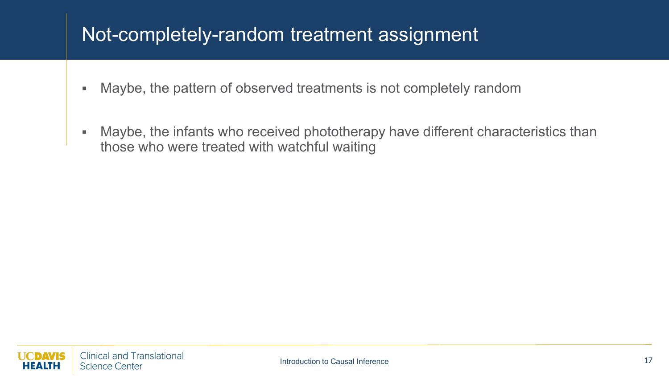#### Not-completely-random treatment assignment

- Maybe, the pattern of observed treatments is not completely random
- Maybe, the infants who received phototherapy have different characteristics than those who were treated with watchful waiting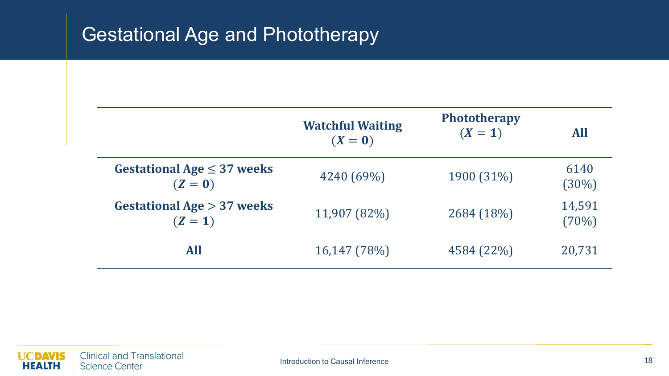# Gestational Age and Phototherapy

|                                            | <b>Watchful Waiting</b><br>$(X=0)$ | <b>Phototherapy</b><br>$(X = 1)$ | <b>All</b>      |
|--------------------------------------------|------------------------------------|----------------------------------|-----------------|
| Gestational Age $\leq$ 37 weeks<br>$(Z=0)$ | 4240 (69%)                         | 1900 (31%)                       | 6140<br>(30%)   |
| Gestational Age $> 37$ weeks<br>$(Z = 1)$  | 11,907 (82%)                       | 2684 (18%)                       | 14,591<br>(70%) |
| <b>All</b>                                 | 16,147 (78%)                       | 4584 (22%)                       | 20,731          |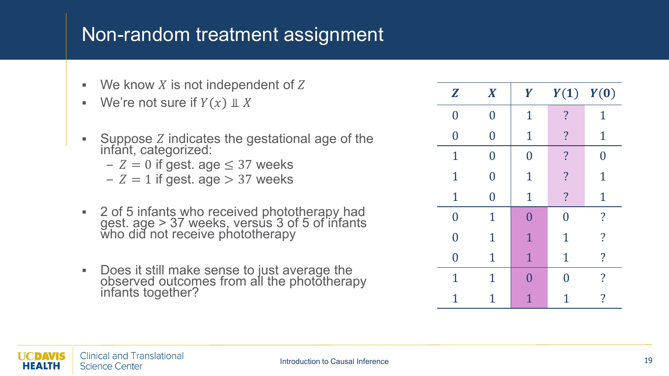#### Non-random treatment assignment

- $\blacksquare$  We know X is not independent of Z
- We're not sure if  $Y(x) \perp\!\!\!\perp X$
- Suppose indicates the gestational age of the infant, categorized:
	- $Z = 0$  if gest. age  $\leq 37$  weeks
	- $-Z = 1$  if gest. age  $> 37$  weeks
- 2 of 5 infants who received phototherapy had gest. age > 37 weeks, versus 3 of 5 of infants who did not receive phototherapy
- Does it still make sense to just average the observed outcomes from all the photŏtherapy<br>infants together?

| $\mathbf{Z}$   | $\boldsymbol{X}$ | Y              | $Y(1)$ $Y(0)$      |                          |
|----------------|------------------|----------------|--------------------|--------------------------|
| $\bf{0}$       | $\bm{0}$         | $\overline{1}$ | $\overline{\cdot}$ | 1                        |
| $\overline{0}$ | $\pmb{0}$        | $\mathbf{1}$   | $\overline{?}$     | $\mathbf 1$              |
| $\mathbf{1}$   | $\rm 0$          | $\overline{0}$ | $\overline{?}$     | 0                        |
| $\mathbf{1}$   | $\rm 0$          | $\mathbf 1$    | $\overline{?}$     | $\mathbf{1}$             |
| $\mathbf 1$    | $\overline{0}$   | $\mathbf{1}$   | $\overline{?}$     | $\mathbf{1}$             |
| $\overline{0}$ | 1                | $\overline{0}$ | $\overline{0}$     | $\overline{\cdot}$       |
| $\overline{0}$ | $\mathbf 1$      | 1              | $\mathbf 1$        | $\overline{\mathcal{L}}$ |
| $\overline{0}$ | $\mathbf 1$      | $\mathbf{1}$   | $\mathbf 1$        | $\overline{\mathcal{L}}$ |
| $\mathbf{1}$   | 1                | $\Omega$       | 0                  | ?                        |
| 1              | 1                | 1              | 1                  | $\overline{\cdot}$       |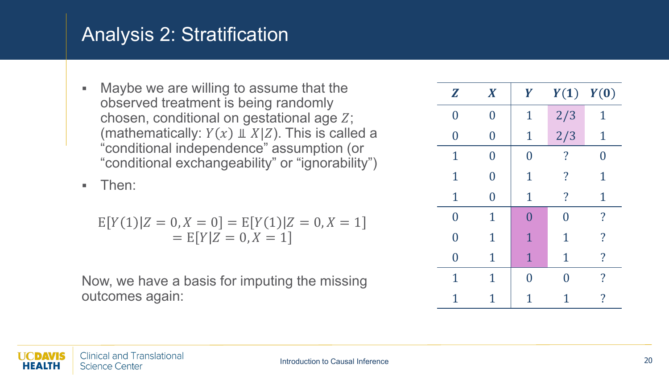Maybe we are willing to assume that the observed treatment is being randomly chosen, conditional on gestational age  $Z$ ; (mathematically:  $Y(x) \perp X|Z$ ). This is called a "conditional independence" assumption (or "conditional exchangeability" or "ignorability")

**F** Then:

$$
E[Y(1)|Z = 0, X = 0] = E[Y(1)|Z = 0, X = 1]
$$
  
= E[Y|Z = 0, X = 1]

| $\mathbf{Z}$   | $\boldsymbol{X}$ | Y              | $Y(1)$ $Y(0)$      |                    |
|----------------|------------------|----------------|--------------------|--------------------|
| $\overline{0}$ | $\overline{0}$   | $\mathbf 1$    | 2/3                | 1                  |
| $\overline{0}$ | $\overline{0}$   | $\mathbf 1$    | 2/3                | $\mathbf 1$        |
| $\mathbf 1$    | $\overline{0}$   | $\overline{0}$ | $\overline{\cdot}$ | 0                  |
| $\mathbf 1$    | $\overline{0}$   | $\mathbf 1$    | $\cdot$            | $\mathbf 1$        |
| $\mathbf{1}$   | $\overline{0}$   | $\mathbf{1}$   | $\overline{\cdot}$ | $\mathbf 1$        |
| $\overline{0}$ | 1                | $\overline{0}$ | $\overline{0}$     | $\overline{\cdot}$ |
| $\overline{0}$ | $\mathbf 1$      | 1              | 1                  | $\overline{\cdot}$ |
| $\overline{0}$ | $\mathbf 1$      | $\mathbf{1}$   | $\mathbf 1$        | $\overline{?}$     |
| $\mathbf 1$    | 1                | $\overline{0}$ | O                  | ?                  |
| 1              | 1                | 1              | 1                  | ?                  |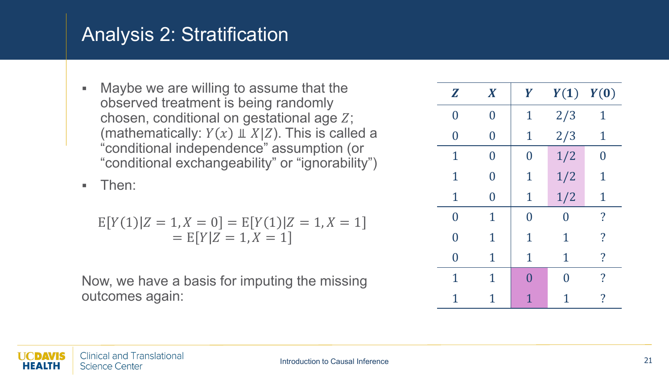Maybe we are willing to assume that the observed treatment is being randomly chosen, conditional on gestational age  $Z$ ; (mathematically:  $Y(x) \perp X|Z$ ). This is called a "conditional independence" assumption (or "conditional exchangeability" or "ignorability")

**F** Then:

$$
E[Y(1)|Z = 1, X = 0] = E[Y(1)|Z = 1, X = 1]
$$
  
= E[Y|Z = 1, X = 1]

| $\boldsymbol{Z}$ | $\boldsymbol{X}$ | Y              |             | $Y(1)$ $Y(0)$            |
|------------------|------------------|----------------|-------------|--------------------------|
| $\overline{0}$   | 0                | $\mathbf 1$    | 2/3         | 1                        |
| $\Omega$         | $\overline{0}$   | $\mathbf 1$    | 2/3         | $\mathbf 1$              |
| $\mathbf 1$      | 0                | $\overline{0}$ | 1/2         | $\overline{0}$           |
| $\mathbf 1$      | $\Omega$         | $\mathbf 1$    | 1/2         | 1                        |
| $\mathbf{1}$     | $\overline{0}$   | $\mathbf{1}$   | 1/2         | $\mathbf{1}$             |
| $\overline{0}$   | $\mathbf 1$      | $\overline{0}$ | 0           | ?                        |
| $\Omega$         | $\mathbf 1$      | $\mathbf 1$    | 1           | $\overline{\mathcal{C}}$ |
| 0                | $\mathbf 1$      | $\mathbf 1$    | $\mathbf 1$ | $\overline{\mathcal{L}}$ |
| $\mathbf 1$      | 1                | 0              | N           | ?                        |
| 1                | 1                | 1              | 1           | ?                        |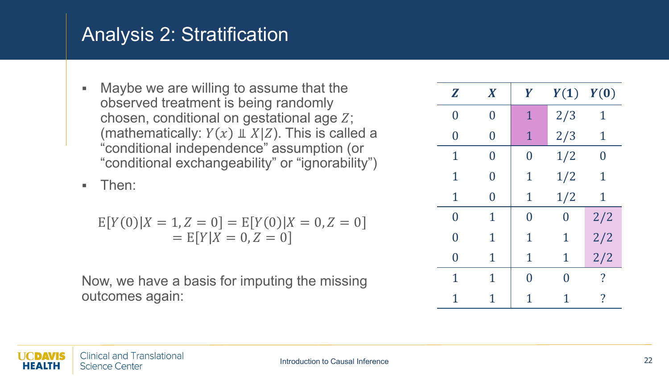Maybe we are willing to assume that the observed treatment is being randomly chosen, conditional on gestational age  $Z$ ; (mathematically:  $Y(x) \perp X|Z$ ). This is called a "conditional independence" assumption (or "conditional exchangeability" or "ignorability")

**F** Then:

$$
E[Y(0)|X = 1, Z = 0] = E[Y(0)|X = 0, Z = 0]
$$
  
= E[Y|X = 0, Z = 0]

| Z              | $\boldsymbol{X}$ | Y              | Y(1)           | Y(0)           |
|----------------|------------------|----------------|----------------|----------------|
| $\overline{0}$ | 0                | $\mathbf{1}$   | 2/3            | 1              |
| 0              | 0                | $\mathbf 1$    | 2/3            | 1              |
| $\mathbf 1$    | 0                | $\bm{0}$       | 1/2            | $\overline{0}$ |
| $\mathbf 1$    | 0                | $\mathbf 1$    | 1/2            | $\mathbf 1$    |
| $\mathbf 1$    | $\overline{0}$   | $\mathbf 1$    | 1/2            | $\mathbf 1$    |
| $\overline{0}$ | $\mathbf 1$      | $\overline{0}$ | $\overline{0}$ | 2/2            |
| $\overline{0}$ | 1                | $\mathbf 1$    | $\mathbf 1$    | 2/2            |
| $\Omega$       | 1                | $\mathbf 1$    | $\mathbf 1$    | 2/2            |
| $\mathbf 1$    | $\mathbf 1$      | 0              | 0              | ?              |
| 1              | 1                | 1              | 1              | ?              |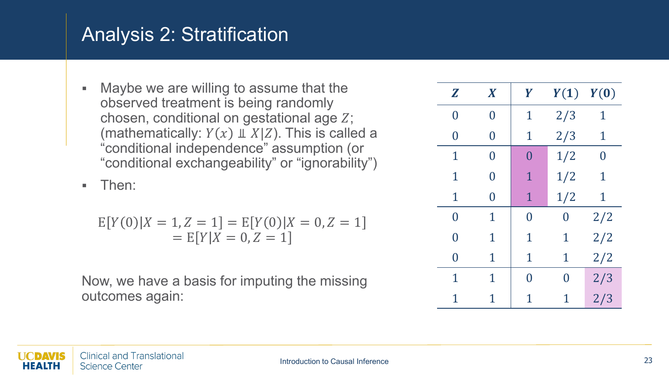Maybe we are willing to assume that the observed treatment is being randomly chosen, conditional on gestational age  $Z$ ; (mathematically:  $Y(x) \perp X|Z$ ). This is called a "conditional independence" assumption (or "conditional exchangeability" or "ignorability")

**F** Then:

$$
E[Y(0)|X = 1, Z = 1] = E[Y(0)|X = 0, Z = 1]
$$
  
= E[Y|X = 0, Z = 1]

| Z              | $\boldsymbol{X}$ | Y           | Y(1)           | Y(0)           |
|----------------|------------------|-------------|----------------|----------------|
| $\overline{0}$ | 0                | 1           | 2/3            | $\mathbf 1$    |
| 0              | 0                | 1           | 2/3            | 1              |
| 1              | 0                | $\Omega$    | 1/2            | $\overline{0}$ |
| $\mathbf 1$    | 0                | 1           | 1/2            | 1              |
| $\mathbf 1$    | $\overline{0}$   | $\mathbf 1$ | 1/2            | $\mathbf 1$    |
| $\overline{0}$ | 1                | $\Omega$    | $\overline{0}$ | 2/2            |
| $\Omega$       | 1                | $\mathbf 1$ | 1              | 2/2            |
| 0              | 1                | $\mathbf 1$ | 1              | 2/2            |
| $\mathbf 1$    | $\mathbf 1$      | 0           | 0              | 2/3            |
| 1              | 1                | 1           | 1              | 2/3            |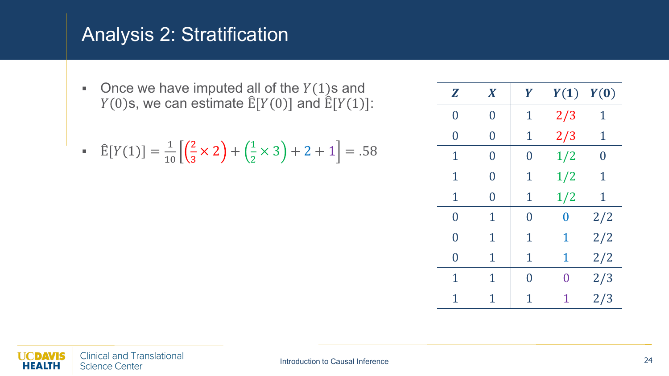Once we have imputed all of the  $Y(1)$ s and  $Y(0)$ s, we can estimate  $\mathbb{E}[Y(0)]$  and  $\mathbb{E}[Y(1)]$ :

$$
\widehat{\mathbb{E}}[Y(1)] = \frac{1}{10} \left[ \left( \frac{2}{3} \times 2 \right) + \left( \frac{1}{2} \times 3 \right) + 2 + 1 \right] = .58
$$

| Z              | $\boldsymbol{X}$ | Y              | Y(1)     | Y(0) |
|----------------|------------------|----------------|----------|------|
| $\overline{0}$ | $\overline{0}$   | $\mathbf 1$    | 2/3      | 1    |
| $\overline{0}$ | $\overline{0}$   | $\mathbf 1$    | 2/3      | 1    |
| 1              | 0                | $\overline{0}$ | 1/2      | 0    |
| $\mathbf 1$    | $\overline{0}$   | $\mathbf 1$    | 1/2      | 1    |
| $\mathbf 1$    | $\overline{0}$   | $\mathbf 1$    | 1/2      | 1    |
| $\overline{0}$ | 1                | $\overline{0}$ | $\bm{0}$ | 2/2  |
| $\overline{0}$ | $\mathbf 1$      | $\mathbf{1}$   | 1        | 2/2  |
| $\overline{0}$ | 1                | $\mathbf 1$    | 1        | 2/2  |
| 1              | $\mathbf 1$      | $\overline{0}$ | 0        | 2/3  |
| $\mathbf 1$    | $\mathbf 1$      | 1              | 1        | 2/3  |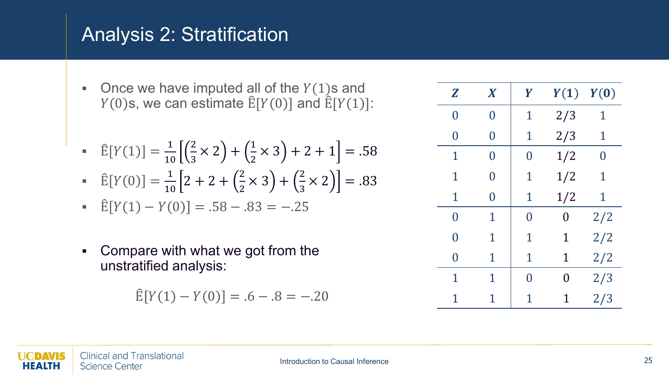- Once we have imputed all of the  $Y(1)$ s and  $Y(0)$ s, we can estimate  $\hat{E}[Y(0)]$  and  $\hat{E}[Y(1)]$ :
- $\hat{E}[Y(1)] = \frac{1}{10}$ 10 2  $\frac{2}{3} \times 2$  +  $\left(\frac{1}{2} \times 3\right)$  + 2 + 1 = .58
- $\hat{E}[Y(0)] = \frac{1}{10}$  $\frac{1}{10}\left[2+2+\left(\frac{2}{2}\times3\right)+\left(\frac{2}{3}\times2\right)\right]=.83$

$$
\widehat{\mathbb{E}}[Y(1) - Y(0)] = .58 - .83 = -.25
$$

• Compare with what we got from the unstratified analysis:

$$
\hat{E}[Y(1) - Y(0)] = .6 - .8 = -.20
$$

| Z              | $\boldsymbol{X}$ | Y              | Y(1)           | Y(0)           |
|----------------|------------------|----------------|----------------|----------------|
| $\overline{0}$ | $\overline{0}$   | 1              | 2/3            | 1              |
| $\overline{0}$ | $\overline{0}$   | $\mathbf{1}$   | 2/3            | 1              |
| $\mathbf 1$    | 0                | $\overline{0}$ | 1/2            | $\overline{0}$ |
| $\mathbf 1$    | $\overline{0}$   | 1              | 1/2            | $\mathbf 1$    |
| $\mathbf{1}$   | $\overline{0}$   | $\mathbf 1$    | 1/2            | $\mathbf 1$    |
| $\overline{0}$ | 1                | 0              | $\overline{0}$ | 2/2            |
| $\overline{0}$ | 1                | $\mathbf{1}$   | $\mathbf{1}$   | 2/2            |
| $\overline{0}$ | $\mathbf 1$      | $\mathbf{1}$   | $\mathbf 1$    | 2/2            |
| $\mathbf 1$    | $\mathbf 1$      | $\Omega$       | $\Omega$       | 2/3            |
| 1              | 1                | 1              | 1              | 2/3            |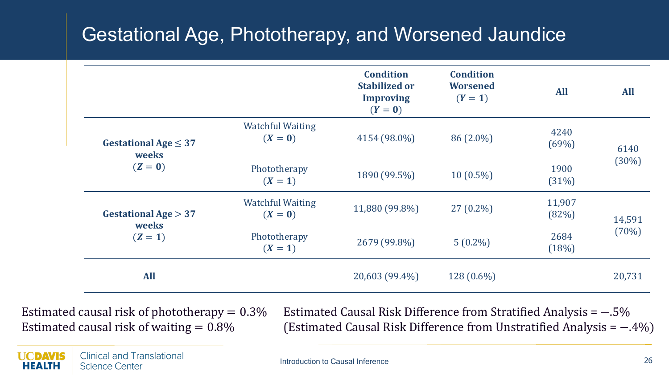#### Gestational Age, Phototherapy, and Worsened Jaundice

|                                               |                                    | <b>Condition</b><br><b>Stabilized or</b><br><b>Improving</b><br>$(Y=0)$ | <b>Condition</b><br><b>Worsened</b><br>$(Y = 1)$ | <b>All</b>      | <b>All</b> |
|-----------------------------------------------|------------------------------------|-------------------------------------------------------------------------|--------------------------------------------------|-----------------|------------|
| Gestational Age $\leq$ 37<br>weeks<br>$(Z=0)$ | <b>Watchful Waiting</b><br>$(X=0)$ | 4154 (98.0%)                                                            | 86 (2.0%)                                        | 4240<br>(69%)   | 6140       |
|                                               | Phototherapy<br>$(X = 1)$          | 1890 (99.5%)                                                            | $10(0.5\%)$                                      | 1900<br>(31%)   | (30%)      |
| Gestational Age $> 37$<br>weeks               | <b>Watchful Waiting</b><br>$(X=0)$ | 11,880 (99.8%)                                                          | $27(0.2\%)$                                      | 11,907<br>(82%) | 14,591     |
| $(Z = 1)$                                     | Phototherapy<br>$(X = 1)$          | 2679 (99.8%)                                                            | $5(0.2\%)$                                       | 2684<br>(18%)   | (70%)      |
| <b>All</b>                                    |                                    | 20,603 (99.4%)                                                          | 128 (0.6%)                                       |                 | 20,731     |

Estimated causal risk of phototherapy  $= 0.3\%$ Estimated causal risk of waiting  $= 0.8\%$ 

Estimated Causal Risk Difference from Stratified Analysis = −.5% (Estimated Causal Risk Difference from Unstratified Analysis = −.4%)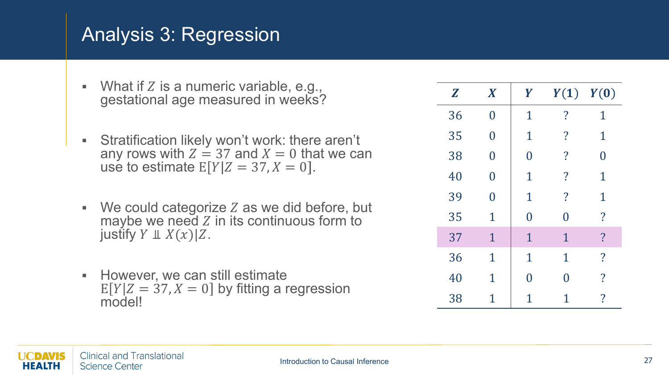#### Analysis 3: Regression

- **What if Z is a numeric variable, e.g.,** gestational age measured in weeks?
- Stratification likely won't work: there aren't any rows with  $Z = 37$  and  $X = 0$  that we can use to estimate  $E[Y|Z = 37, X = 0]$ .
- $W$ e could categorize  $Z$  as we did before, but maybe we need  $Z$  in its continuous form to justify  $Y \perp\!\!\!\perp X(x)|Z.$
- **However, we can still estimate**  $E[Y|Z = 37, X = 0]$  by fitting a regression model!

| $\mathbf{Z}$ | $\boldsymbol{X}$ | Y              |                         | $Y(1)$ $Y(0)$            |
|--------------|------------------|----------------|-------------------------|--------------------------|
| 36           | $\bf{0}$         | $\mathbf{1}$   | $\overline{\cdot}$      | $\mathbf 1$              |
| 35           | $\overline{0}$   | $\mathbf{1}$   | $\overline{\cdot}$      | $\mathbf{1}$             |
| 38           | $\overline{0}$   | $\overline{0}$ | $\overline{\cdot}$      | $\overline{0}$           |
| 40           | $\overline{0}$   | $\mathbf{1}$   | $\overline{\mathbf{?}}$ | $\mathbf{1}$             |
| 39           | $\overline{0}$   | $\mathbf{1}$   | $\overline{\cdot}$      | $\mathbf{1}$             |
| 35           | $\mathbf 1$      | $\overline{0}$ | $\overline{0}$          | $\overline{\mathcal{C}}$ |
| 37           | $\mathbf{1}$     | $\mathbf{1}$   | $\mathbf 1$             | $\overline{?}$           |
| 36           | $\mathbf 1$      | $\mathbf{1}$   | $\mathbf{1}$            | $\overline{\cdot}$       |
| 40           | $\mathbf 1$      | $\overline{0}$ | 0                       | $\overline{\mathcal{L}}$ |
| 38           | 1                | $\overline{1}$ | 1                       | $\overline{\cdot}$       |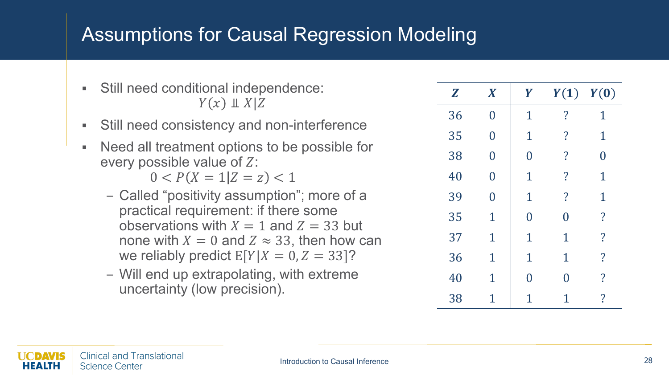#### Assumptions for Causal Regression Modeling

- Still need conditional independence:  $Y(x) \perp X|Z$
- Still need consistency and non-interference
- Need all treatment options to be possible for every possible value of  $Z$ :

 $0 < P(X = 1 | Z = z) < 1$ 

- Called "positivity assumption"; more of a practical requirement: if there some observations with  $X = 1$  and  $Z = 33$  but none with  $X = 0$  and  $Z \approx 33$ , then how can we reliably predict  $E[Y|X = 0, Z = 33]$ ?
- Will end up extrapolating, with extreme uncertainty (low precision).

| $\mathbf{Z}$ | $\boldsymbol{X}$ | Y              | $Y(1)$ $Y(0)$            |                          |
|--------------|------------------|----------------|--------------------------|--------------------------|
| 36           | $\overline{0}$   | $\mathbf{1}$   | $\overline{\mathcal{L}}$ | 1                        |
| 35           | $\overline{0}$   | $\mathbf{1}$   | $\overline{\cdot}$       | $\mathbf 1$              |
| 38           | $\overline{0}$   | $\overline{0}$ | $\overline{\mathcal{L}}$ | $\overline{0}$           |
| 40           | $\overline{0}$   | $\mathbf{1}$   | $\overline{\mathcal{L}}$ | $\mathbf 1$              |
| 39           | $\overline{0}$   | $\mathbf{1}$   | $\overline{\cdot}$       | $\mathbf{1}$             |
| 35           | $\mathbf{1}$     | $\overline{0}$ | 0                        | $\overline{\mathcal{L}}$ |
| 37           | $\mathbf{1}$     | $\mathbf{1}$   | $\mathbf 1$              | $\overline{\mathcal{L}}$ |
| 36           | $\mathbf{1}$     | $\mathbf{1}$   | $\mathbf{1}$             | $\overline{\mathcal{L}}$ |
| 40           | $\mathbf{1}$     | $\overline{0}$ | 0                        | $\overline{\mathcal{C}}$ |
| 38           | 1                |                | 1                        | $\overline{\cdot}$       |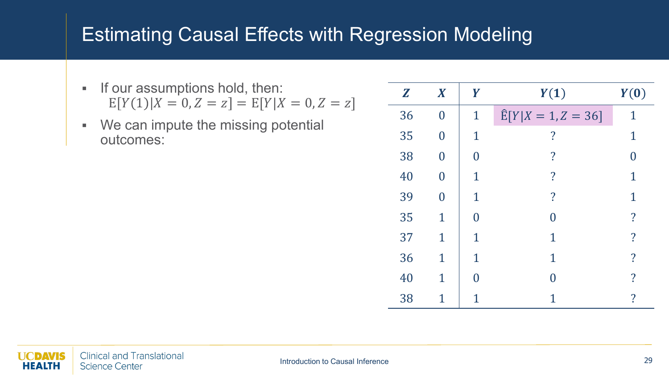#### Estimating Causal Effects with Regression Modeling

- **If our assumptions hold, then:**  $E[Y(1)|X = 0, Z = z] = E[Y|X = 0, Z = z]$
- **We can impute the missing potential** outcomes:

| Z  | $\boldsymbol{X}$ | Y                     | Y(1)                       | Y(0)                     |
|----|------------------|-----------------------|----------------------------|--------------------------|
| 36 | $\overline{0}$   | $\mathbf{1}$          | $\hat{E}[Y X = 1, Z = 36]$ | 1                        |
| 35 | $\overline{0}$   | 1                     | $\overline{\mathbf{?}}$    | 1                        |
| 38 | $\overline{0}$   | 0                     | $\overline{\cdot}$         | N                        |
| 40 | $\overline{0}$   | 1                     | $\overline{\mathcal{C}}$   | 1                        |
| 39 | $\overline{0}$   | 1                     | $\overline{\cdot}$         | 1                        |
| 35 | $\overline{1}$   | 0                     | 0                          | $\overline{\mathcal{L}}$ |
| 37 | 1                | 1                     | 1                          | $\overline{\mathbf{?}}$  |
| 36 | $\mathbf{1}$     | 1                     | 1                          | $\overline{\cdot}$       |
| 40 | 1                | $\mathbf{\mathbf{0}}$ | 0                          | $\overline{\mathcal{C}}$ |
| 38 | 1                |                       |                            | $\overline{\mathcal{L}}$ |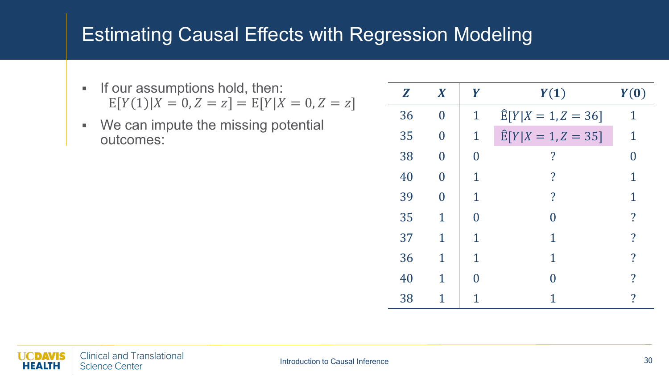#### Estimating Causal Effects with Regression Modeling

- **If our assumptions hold, then:**  $E[Y(1)|X = 0, Z = z] = E[Y|X = 0, Z = z]$
- **We can impute the missing potential** outcomes:

| Z  | $\boldsymbol{X}$ | Y           | Y(1)                           | Y(0)                       |
|----|------------------|-------------|--------------------------------|----------------------------|
| 36 | $\overline{0}$   | 1           | $\hat{E}[Y X = 1, Z = 36]$     | 1                          |
| 35 | 0                | $\mathbf 1$ | $\widehat{E}[Y X = 1, Z = 35]$ | 1                          |
| 38 | 0                | 0           | $\overline{\mathbf{?}}$        |                            |
| 40 | O                | 1           | $\boldsymbol{\mathcal{P}}$     | 1                          |
| 39 |                  | 1           | $\overline{?}$                 | 1                          |
| 35 | 1                | N           |                                | $\overline{\mathcal{C}}$   |
| 37 | 1                | 1           | 1                              | $\overline{?}$             |
| 36 | 1                | 1           | 1                              | $\overline{\mathcal{C}}$   |
| 40 | 1                |             | ⋂                              | $\mathcal{P}$              |
| 38 | 1                |             |                                | $\boldsymbol{\mathcal{P}}$ |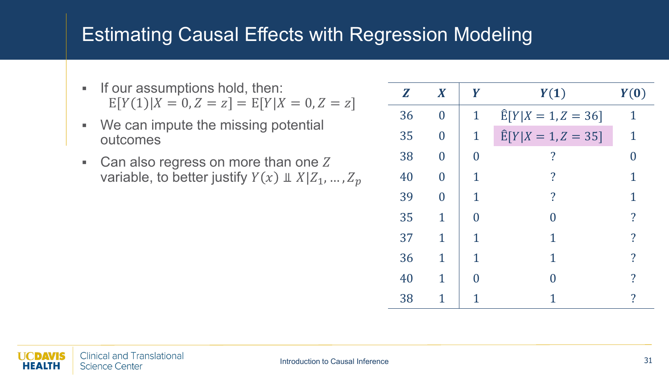#### Estimating Causal Effects with Regression Modeling

- **If our assumptions hold, then:**  $E[Y(1)|X = 0, Z = z] = E[Y|X = 0, Z = z]$
- We can impute the missing potential outcomes
- Can also regress on more than one  $Z$ variable, to better justify  $Y(x) \perp X | Z_1, ..., Z_p$

| Z  | $\boldsymbol{X}$ | Y           | Y(1)                       | Y(0)                     |
|----|------------------|-------------|----------------------------|--------------------------|
| 36 | $\overline{0}$   | $\mathbf 1$ | $E[Y X = 1, Z = 36]$       | 1                        |
| 35 | 0                | $\mathbf 1$ | $\hat{E}[Y X = 1, Z = 35]$ | 1                        |
| 38 | 0                | 0           | $\overline{\mathcal{C}}$   |                          |
| 40 | 0                | 1           | $\overline{\mathcal{C}}$   | 1                        |
| 39 | 0                | $\mathbf 1$ | $\overline{\mathcal{C}}$   | 1                        |
| 35 | 1                |             |                            | $\overline{\mathcal{C}}$ |
| 37 | 1                | 1           | 1                          | $\overline{\mathcal{C}}$ |
| 36 | 1                | 1           | 1                          | $\overline{\mathcal{C}}$ |
| 40 | 1                |             |                            | ?                        |
| 38 | 1                |             |                            | $\overline{\mathcal{C}}$ |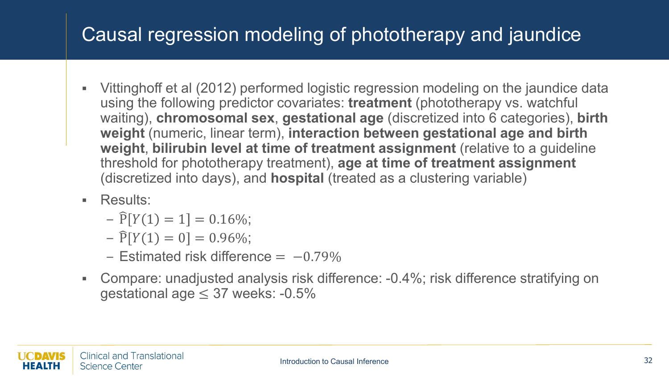# Causal regression modeling of phototherapy and jaundice

- Vittinghoff et al (2012) performed logistic regression modeling on the jaundice data using the following predictor covariates: **treatment** (phototherapy vs. watchful waiting), **chromosomal sex**, **gestational age** (discretized into 6 categories), **birth weight** (numeric, linear term), **interaction between gestational age and birth weight**, **bilirubin level at time of treatment assignment** (relative to a guideline threshold for phototherapy treatment), **age at time of treatment assignment**  (discretized into days), and **hospital** (treated as a clustering variable)
- **Results:** 
	- $\widehat{P}[Y(1) = 1] = 0.16\%;$
	- $\widehat{P}[Y(1) = 0] = 0.96\%;$
	- $-$  Estimated risk difference =  $-0.79\%$
- Compare: unadjusted analysis risk difference: -0.4%; risk difference stratifying on gestational age  $\leq$  37 weeks: -0.5%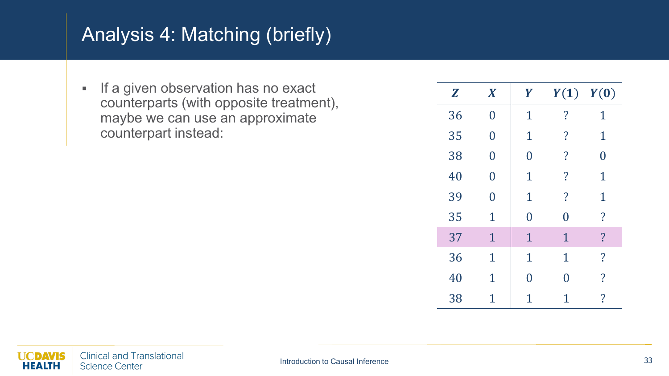# Analysis 4: Matching (briefly)

**If a given observation has no exact** counterparts (with opposite treatment), maybe we can use an approximate counterpart instead:

| $\boldsymbol{Z}$ | $\boldsymbol{X}$ | Y              |                          | $Y(1)$ $Y(0)$            |
|------------------|------------------|----------------|--------------------------|--------------------------|
| 36               | $\overline{0}$   | $\mathbf 1$    | $\overline{\cdot}$       | 1                        |
| 35               | $\overline{0}$   | $\mathbf 1$    | $\overline{\cdot}$       | $\mathbf 1$              |
| 38               | 0                | $\overline{0}$ | $\overline{\cdot}$       | $\overline{0}$           |
| 40               | $\overline{0}$   | $\mathbf 1$    | $\overline{\mathcal{L}}$ | $\mathbf 1$              |
| 39               | $\Omega$         | $\mathbf{1}$   | $\overline{\cdot}$       | $\mathbf 1$              |
| 35               | $\mathbf 1$      | $\overline{0}$ | $\overline{0}$           | $\overline{?}$           |
| 37               | $\mathbf{1}$     | $\mathbf{1}$   | $\mathbf{1}$             | $\overline{\mathbf{?}}$  |
| 36               | $\mathbf{1}$     | $\mathbf{1}$   | $\mathbf 1$              | $\overline{\mathcal{L}}$ |
| 40               | $\mathbf 1$      | $\overline{0}$ | $\overline{0}$           | $\overline{\cdot}$       |
| 38               | $\mathbf 1$      | 1              | 1                        | $\overline{?}$           |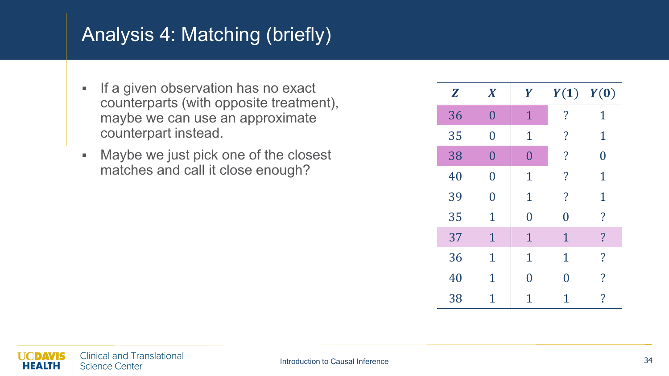# Analysis 4: Matching (briefly)

- **If a given observation has no exact** counterparts (with opposite treatment), maybe we can use an approximate counterpart instead.
- Maybe we just pick one of the closest matches and call it close enough?

| Z  | $\boldsymbol{X}$ | Y              |                    | $Y(1)$ $Y(0)$            |
|----|------------------|----------------|--------------------|--------------------------|
| 36 | $\overline{0}$   | $\mathbf{1}$   | $\overline{\cdot}$ | 1                        |
| 35 | $\overline{0}$   | $\mathbf{1}$   | $\cdot$            | $\mathbf 1$              |
| 38 | $\overline{0}$   | $\overline{0}$ | $\overline{\cdot}$ | $\Omega$                 |
| 40 | $\overline{0}$   | $\mathbf{1}$   | $\cdot$            | $\mathbf 1$              |
| 39 | $\overline{0}$   | $\mathbf{1}$   | $\overline{\cdot}$ | $\mathbf 1$              |
| 35 | 1                | $\overline{0}$ | $\overline{0}$     | $\overline{\mathcal{L}}$ |
| 37 | $\mathbf{1}$     | $\mathbf{1}$   | $\mathbf{1}$       | $\overline{?}$           |
| 36 | $\mathbf{1}$     | $\mathbf{1}$   | $\mathbf{1}$       | $\overline{\mathcal{L}}$ |
| 40 | $\mathbf 1$      | $\overline{0}$ | $\overline{0}$     | $\overline{\cdot}$       |
| 38 | 1                | 1              | 1                  | $\overline{\mathcal{L}}$ |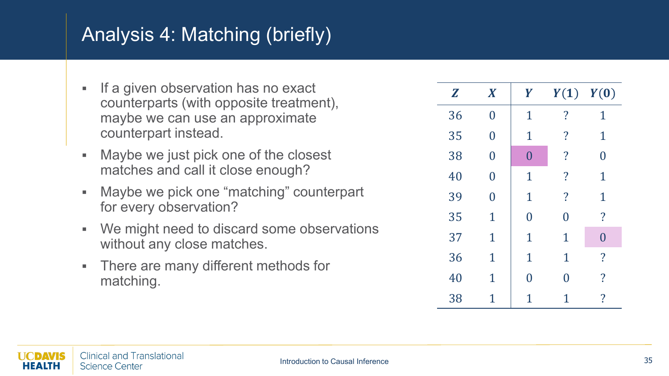# Analysis 4: Matching (briefly)

- $\blacksquare$  If a given observation has no exact counterparts (with opposite treatment), maybe we can use an approximate counterpart instead.
- Maybe we just pick one of the closest matches and call it close enough?
- Maybe we pick one "matching" counterpart for every observation?
- We might need to discard some observations without any close matches.
- **There are many different methods for** matching.

| Z  | $\boldsymbol{X}$ | Y              | Y(1)                     | Y(0)                     |
|----|------------------|----------------|--------------------------|--------------------------|
| 36 | $\overline{0}$   | $\mathbf 1$    | $\overline{\cdot}$       | $\mathbf{1}$             |
| 35 | $\overline{0}$   | $\mathbf 1$    | $\overline{\cdot}$       | $\mathbf 1$              |
| 38 | $\overline{0}$   | $\overline{0}$ | $\overline{?}$           | $\overline{0}$           |
| 40 | $\overline{0}$   | $\mathbf 1$    | $\overline{\cdot}$       | $\mathbf{1}$             |
| 39 | $\overline{0}$   | $\mathbf{1}$   | $\overline{\mathcal{L}}$ | $\mathbf 1$              |
| 35 | $\mathbf 1$      | $\overline{0}$ | $\overline{0}$           | $\overline{\mathcal{C}}$ |
| 37 | $\mathbf{1}$     | $\mathbf 1$    | $\mathbf 1$              | $\overline{0}$           |
| 36 | $\mathbf{1}$     | $\mathbf{1}$   | $\mathbf 1$              | $\overline{\mathcal{L}}$ |
| 40 | $\overline{1}$   | 0              | $\overline{0}$           | $\overline{\mathcal{L}}$ |
| 38 | 1                | 1              | 1                        | $\overline{\mathcal{C}}$ |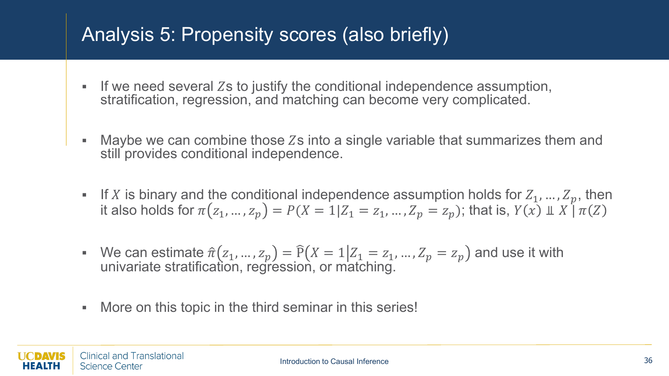#### Analysis 5: Propensity scores (also briefly)

- If we need several Zs to justify the conditional independence assumption, stratification, regression, and matching can become very complicated.
- Maybe we can combine those  $Zs$  into a single variable that summarizes them and still provides conditional independence.
- If X is binary and the conditional independence assumption holds for  $Z_1, ..., Z_n$ , then it also holds for  $\pi(z_1, ..., z_n) = P(X = 1 | Z_1 = z_1, ..., Z_n = z_n)$ ; that is,  $Y(x) \perp X \upharpoonright \pi(Z)$
- We can estimate  $\hat{\pi}(z_1, ..., z_p) = \hat{P}(X = 1 | Z_1 = z_1, ..., Z_p = z_p)$  and use it with univariate stratification, regression, or matching.
- More on this topic in the third seminar in this series!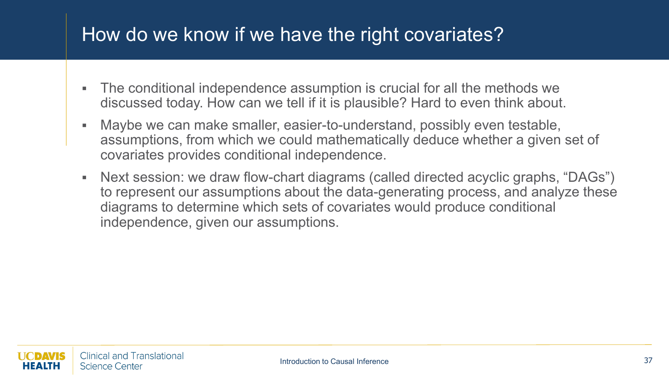#### How do we know if we have the right covariates?

- The conditional independence assumption is crucial for all the methods we discussed today. How can we tell if it is plausible? Hard to even think about.
- Maybe we can make smaller, easier-to-understand, possibly even testable, assumptions, from which we could mathematically deduce whether a given set of covariates provides conditional independence.
- Next session: we draw flow-chart diagrams (called directed acyclic graphs, "DAGs") to represent our assumptions about the data-generating process, and analyze these diagrams to determine which sets of covariates would produce conditional independence, given our assumptions.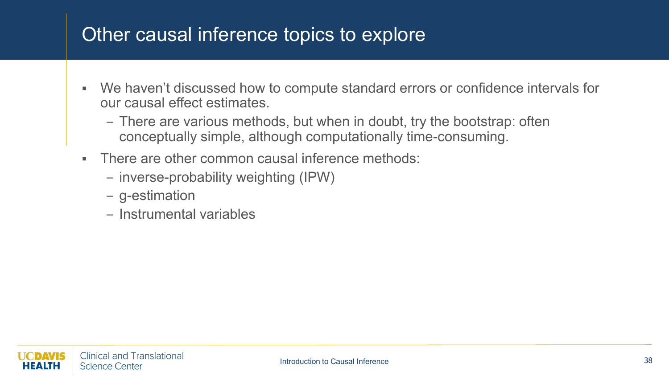#### Other causal inference topics to explore

- We haven't discussed how to compute standard errors or confidence intervals for our causal effect estimates.
	- There are various methods, but when in doubt, try the bootstrap: often conceptually simple, although computationally time-consuming.
- **There are other common causal inference methods:** 
	- inverse-probability weighting (IPW)
	- g-estimation
	- Instrumental variables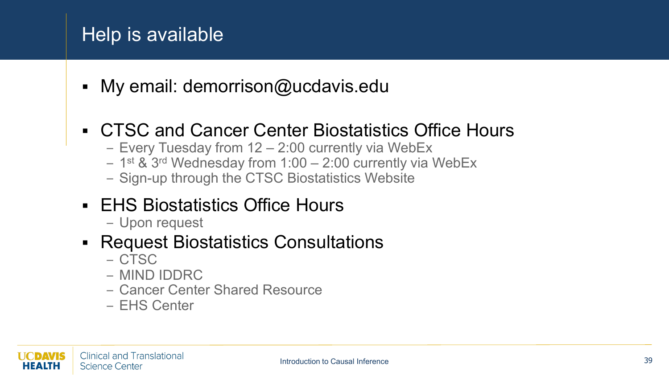#### Help is available

• My email: demorrison@ucdavis.edu

#### CTSC and Cancer Center Biostatistics Office Hours

- Every Tuesday from 12 2:00 currently via WebEx
- 1st & 3rd Wednesday from 1:00 2:00 currently via WebEx
- Sign-up through the CTSC Biostatistics Website
- **EHS Biostatistics Office Hours** 
	- Upon request

#### Request Biostatistics Consultations

- CTSC
- MIND IDDRC
- Cancer Center Shared Resource
- EHS Center